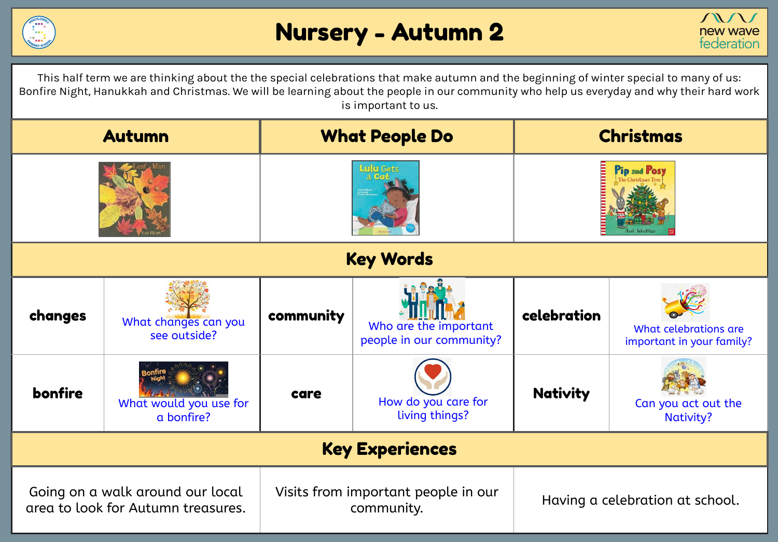



This half term we are thinking about the the special celebrations that make autumn and the beginning of winter special to many of us: Bonfire Night, Hanukkah and Christmas. We will be learning about the people in our community who help us everyday and why their hard work is important to us.

| <b>Autumn</b>                                                          |                                      | <b>What People Do</b>                             |                                                   | <b>Christmas</b>                |                                                    |  |  |
|------------------------------------------------------------------------|--------------------------------------|---------------------------------------------------|---------------------------------------------------|---------------------------------|----------------------------------------------------|--|--|
|                                                                        |                                      | <b>ulu</b> Gets                                   |                                                   | <b>Pip and Posy</b>             |                                                    |  |  |
| <b>Key Words</b>                                                       |                                      |                                                   |                                                   |                                 |                                                    |  |  |
| changes                                                                | What changes can you<br>see outside? | community                                         | Who are the important<br>people in our community? | celebration                     | What celebrations are<br>important in your family? |  |  |
| bonfire                                                                | What would you use for<br>a bonfire? | care                                              | How do you care for<br>living things?             | <b>Nativity</b>                 | Can you act out the<br><b>Nativity?</b>            |  |  |
| <b>Key Experiences</b>                                                 |                                      |                                                   |                                                   |                                 |                                                    |  |  |
| Going on a walk around our local<br>area to look for Autumn treasures. |                                      | Visits from important people in our<br>community. |                                                   | Having a celebration at school. |                                                    |  |  |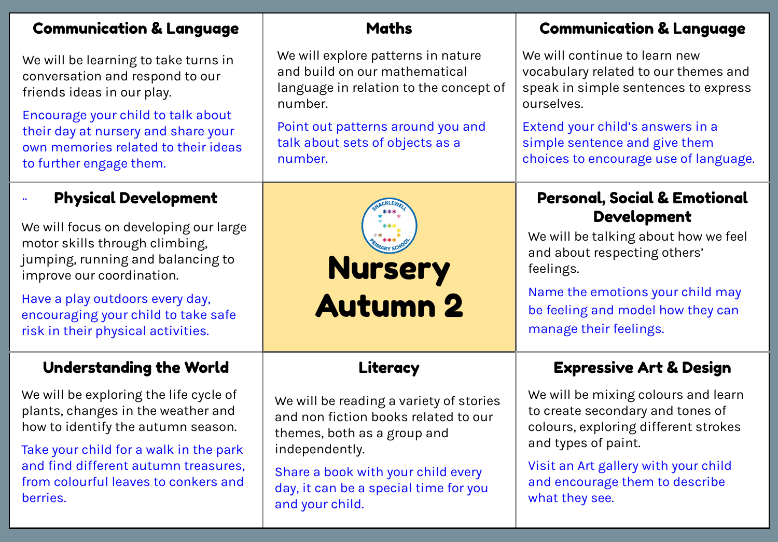| <b>Communication &amp; Language</b>                                                                                                         | <b>Maths</b>                                                                                                             | <b>Communication &amp; Language</b>                                                                                         |  |
|---------------------------------------------------------------------------------------------------------------------------------------------|--------------------------------------------------------------------------------------------------------------------------|-----------------------------------------------------------------------------------------------------------------------------|--|
| We will be learning to take turns in<br>conversation and respond to our<br>friends ideas in our play.                                       | We will explore patterns in nature<br>and build on our mathematical<br>language in relation to the concept of<br>number. | We will continue to learn new<br>vocabulary related to our themes and<br>speak in simple sentences to express<br>ourselves. |  |
| Encourage your child to talk about<br>their day at nursery and share your<br>own memories related to their ideas<br>to further engage them. | Point out patterns around you and<br>talk about sets of objects as a<br>number.                                          | Extend your child's answers in a<br>simple sentence and give them<br>choices to encourage use of language.                  |  |
| <b>Physical Development</b>                                                                                                                 |                                                                                                                          | <b>Personal, Social &amp; Emotional</b>                                                                                     |  |
| We will focus on developing our large<br>motor skills through climbing,<br>jumping, running and balancing to<br>improve our coordination.   | <b>Nursery</b>                                                                                                           | <b>Development</b><br>We will be talking about how we feel<br>and about respecting others'<br>feelings.                     |  |
| Have a play outdoors every day,<br>encouraging your child to take safe<br>risk in their physical activities.                                | <b>Autumn 2</b>                                                                                                          | Name the emotions your child may<br>be feeling and model how they can<br>manage their feelings.                             |  |
| <b>Understanding the World</b>                                                                                                              | Literacy                                                                                                                 | <b>Expressive Art &amp; Design</b>                                                                                          |  |
| We will be exploring the life cycle of<br>plants, changes in the weather and<br>how to identify the autumn season.                          | We will be reading a variety of stories<br>and non fiction books related to our<br>themes, both as a group and           | We will be mixing colours and learn<br>to create secondary and tones of<br>colours, exploring different strokes             |  |
| Take your child for a walk in the park<br>and find different autumn treasures,<br>from colourful leaves to conkers and<br>berries.          | independently.<br>Share a book with your child every<br>day, it can be a special time for you<br>and your child.         | and types of paint.<br>Visit an Art gallery with your child<br>and encourage them to describe<br>what they see.             |  |